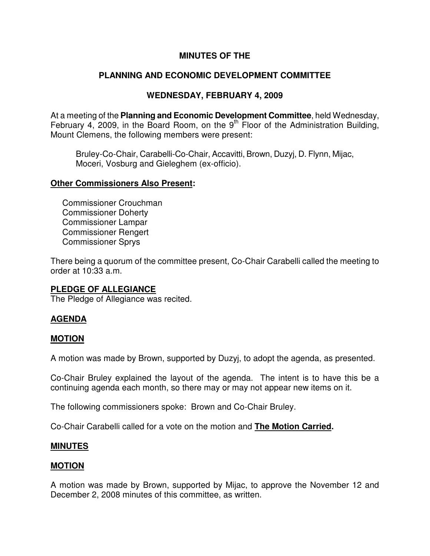# **MINUTES OF THE**

# **PLANNING AND ECONOMIC DEVELOPMENT COMMITTEE**

# **WEDNESDAY, FEBRUARY 4, 2009**

At a meeting of the **Planning and Economic Development Committee**, held Wednesday, February 4, 2009, in the Board Room, on the  $9<sup>th</sup>$  Floor of the Administration Building, Mount Clemens, the following members were present:

Bruley-Co-Chair, Carabelli-Co-Chair, Accavitti, Brown, Duzyj, D. Flynn, Mijac, Moceri, Vosburg and Gieleghem (ex-officio).

#### **Other Commissioners Also Present:**

Commissioner Crouchman Commissioner Doherty Commissioner Lampar Commissioner Rengert Commissioner Sprys

There being a quorum of the committee present, Co-Chair Carabelli called the meeting to order at 10:33 a.m.

# **PLEDGE OF ALLEGIANCE**

The Pledge of Allegiance was recited.

# **AGENDA**

# **MOTION**

A motion was made by Brown, supported by Duzyj, to adopt the agenda, as presented.

Co-Chair Bruley explained the layout of the agenda. The intent is to have this be a continuing agenda each month, so there may or may not appear new items on it.

The following commissioners spoke: Brown and Co-Chair Bruley.

Co-Chair Carabelli called for a vote on the motion and **The Motion Carried.** 

# **MINUTES**

# **MOTION**

A motion was made by Brown, supported by Mijac, to approve the November 12 and December 2, 2008 minutes of this committee, as written.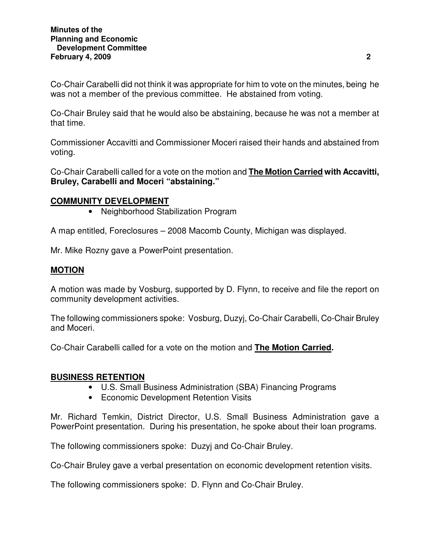Co-Chair Carabelli did not think it was appropriate for him to vote on the minutes, being he was not a member of the previous committee. He abstained from voting.

Co-Chair Bruley said that he would also be abstaining, because he was not a member at that time.

Commissioner Accavitti and Commissioner Moceri raised their hands and abstained from voting.

Co-Chair Carabelli called for a vote on the motion and **The Motion Carried with Accavitti, Bruley, Carabelli and Moceri "abstaining."** 

# **COMMUNITY DEVELOPMENT**

• Neighborhood Stabilization Program

A map entitled, Foreclosures – 2008 Macomb County, Michigan was displayed.

Mr. Mike Rozny gave a PowerPoint presentation.

# **MOTION**

A motion was made by Vosburg, supported by D. Flynn, to receive and file the report on community development activities.

The following commissioners spoke: Vosburg, Duzyj, Co-Chair Carabelli, Co-Chair Bruley and Moceri.

Co-Chair Carabelli called for a vote on the motion and **The Motion Carried.** 

# **BUSINESS RETENTION**

- U.S. Small Business Administration (SBA) Financing Programs
- Economic Development Retention Visits

Mr. Richard Temkin, District Director, U.S. Small Business Administration gave a PowerPoint presentation. During his presentation, he spoke about their loan programs.

The following commissioners spoke: Duzyj and Co-Chair Bruley.

Co-Chair Bruley gave a verbal presentation on economic development retention visits.

The following commissioners spoke: D. Flynn and Co-Chair Bruley.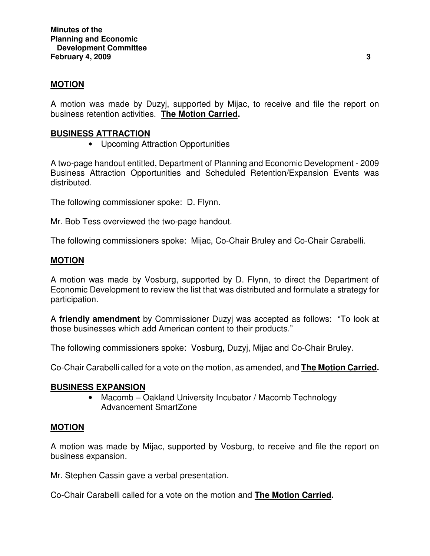# **MOTION**

A motion was made by Duzyj, supported by Mijac, to receive and file the report on business retention activities. **The Motion Carried.** 

#### **BUSINESS ATTRACTION**

• Upcoming Attraction Opportunities

A two-page handout entitled, Department of Planning and Economic Development - 2009 Business Attraction Opportunities and Scheduled Retention/Expansion Events was distributed.

The following commissioner spoke: D. Flynn.

Mr. Bob Tess overviewed the two-page handout.

The following commissioners spoke: Mijac, Co-Chair Bruley and Co-Chair Carabelli.

# **MOTION**

A motion was made by Vosburg, supported by D. Flynn, to direct the Department of Economic Development to review the list that was distributed and formulate a strategy for participation.

A **friendly amendment** by Commissioner Duzyj was accepted as follows: "To look at those businesses which add American content to their products."

The following commissioners spoke: Vosburg, Duzyj, Mijac and Co-Chair Bruley.

Co-Chair Carabelli called for a vote on the motion, as amended, and **The Motion Carried.**

#### **BUSINESS EXPANSION**

• Macomb – Oakland University Incubator / Macomb Technology Advancement SmartZone

#### **MOTION**

A motion was made by Mijac, supported by Vosburg, to receive and file the report on business expansion.

Mr. Stephen Cassin gave a verbal presentation.

Co-Chair Carabelli called for a vote on the motion and **The Motion Carried.**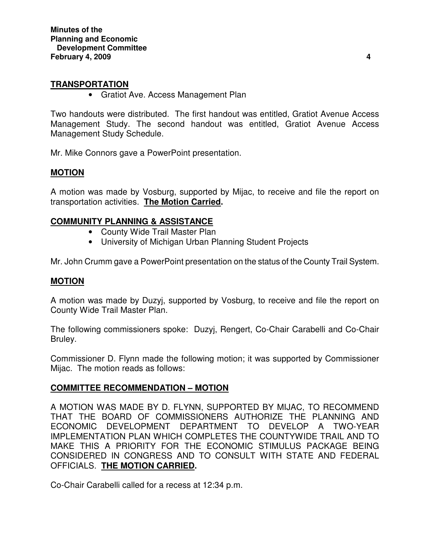# **TRANSPORTATION**

• Gratiot Ave. Access Management Plan

Two handouts were distributed. The first handout was entitled, Gratiot Avenue Access Management Study. The second handout was entitled, Gratiot Avenue Access Management Study Schedule.

Mr. Mike Connors gave a PowerPoint presentation.

# **MOTION**

A motion was made by Vosburg, supported by Mijac, to receive and file the report on transportation activities. **The Motion Carried.** 

# **COMMUNITY PLANNING & ASSISTANCE**

- County Wide Trail Master Plan
- University of Michigan Urban Planning Student Projects

Mr. John Crumm gave a PowerPoint presentation on the status of the County Trail System.

# **MOTION**

A motion was made by Duzyj, supported by Vosburg, to receive and file the report on County Wide Trail Master Plan.

The following commissioners spoke: Duzyj, Rengert, Co-Chair Carabelli and Co-Chair Bruley.

Commissioner D. Flynn made the following motion; it was supported by Commissioner Mijac. The motion reads as follows:

# **COMMITTEE RECOMMENDATION – MOTION**

A MOTION WAS MADE BY D. FLYNN, SUPPORTED BY MIJAC, TO RECOMMEND THAT THE BOARD OF COMMISSIONERS AUTHORIZE THE PLANNING AND ECONOMIC DEVELOPMENT DEPARTMENT TO DEVELOP A TWO-YEAR IMPLEMENTATION PLAN WHICH COMPLETES THE COUNTYWIDE TRAIL AND TO MAKE THIS A PRIORITY FOR THE ECONOMIC STIMULUS PACKAGE BEING CONSIDERED IN CONGRESS AND TO CONSULT WITH STATE AND FEDERAL OFFICIALS. **THE MOTION CARRIED.** 

Co-Chair Carabelli called for a recess at 12:34 p.m.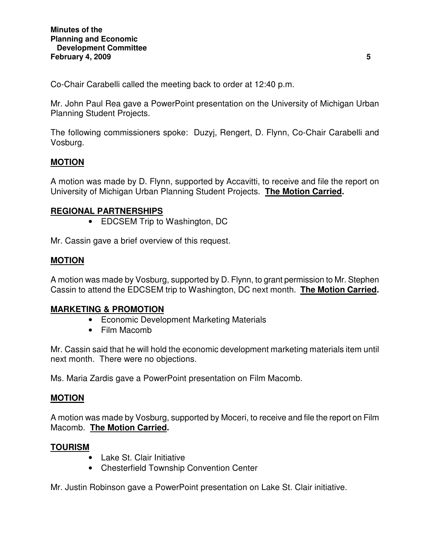Co-Chair Carabelli called the meeting back to order at 12:40 p.m.

Mr. John Paul Rea gave a PowerPoint presentation on the University of Michigan Urban Planning Student Projects.

The following commissioners spoke: Duzyj, Rengert, D. Flynn, Co-Chair Carabelli and Vosburg.

# **MOTION**

A motion was made by D. Flynn, supported by Accavitti, to receive and file the report on University of Michigan Urban Planning Student Projects. **The Motion Carried.** 

# **REGIONAL PARTNERSHIPS**

• EDCSEM Trip to Washington, DC

Mr. Cassin gave a brief overview of this request.

# **MOTION**

A motion was made by Vosburg, supported by D. Flynn, to grant permission to Mr. Stephen Cassin to attend the EDCSEM trip to Washington, DC next month. **The Motion Carried.** 

# **MARKETING & PROMOTION**

- Economic Development Marketing Materials
- Film Macomb

Mr. Cassin said that he will hold the economic development marketing materials item until next month. There were no objections.

Ms. Maria Zardis gave a PowerPoint presentation on Film Macomb.

# **MOTION**

A motion was made by Vosburg, supported by Moceri, to receive and file the report on Film Macomb. **The Motion Carried.** 

# **TOURISM**

- Lake St. Clair Initiative
- Chesterfield Township Convention Center

Mr. Justin Robinson gave a PowerPoint presentation on Lake St. Clair initiative.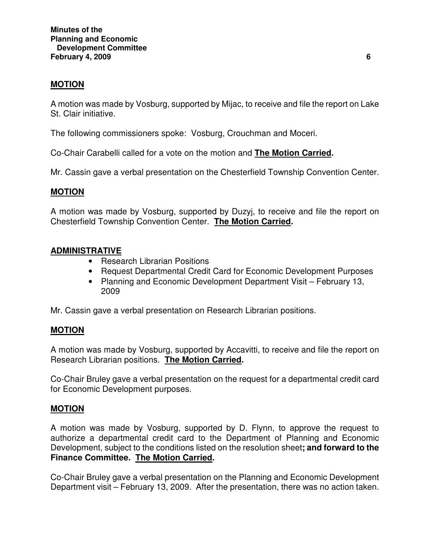# **MOTION**

A motion was made by Vosburg, supported by Mijac, to receive and file the report on Lake St. Clair initiative.

The following commissioners spoke: Vosburg, Crouchman and Moceri.

Co-Chair Carabelli called for a vote on the motion and **The Motion Carried.** 

Mr. Cassin gave a verbal presentation on the Chesterfield Township Convention Center.

# **MOTION**

A motion was made by Vosburg, supported by Duzyj, to receive and file the report on Chesterfield Township Convention Center. **The Motion Carried.** 

# **ADMINISTRATIVE**

- Research Librarian Positions
- Request Departmental Credit Card for Economic Development Purposes
- Planning and Economic Development Department Visit February 13, 2009

Mr. Cassin gave a verbal presentation on Research Librarian positions.

# **MOTION**

A motion was made by Vosburg, supported by Accavitti, to receive and file the report on Research Librarian positions. **The Motion Carried.** 

Co-Chair Bruley gave a verbal presentation on the request for a departmental credit card for Economic Development purposes.

# **MOTION**

A motion was made by Vosburg, supported by D. Flynn, to approve the request to authorize a departmental credit card to the Department of Planning and Economic Development, subject to the conditions listed on the resolution sheet**; and forward to the Finance Committee. The Motion Carried.** 

Co-Chair Bruley gave a verbal presentation on the Planning and Economic Development Department visit – February 13, 2009. After the presentation, there was no action taken.